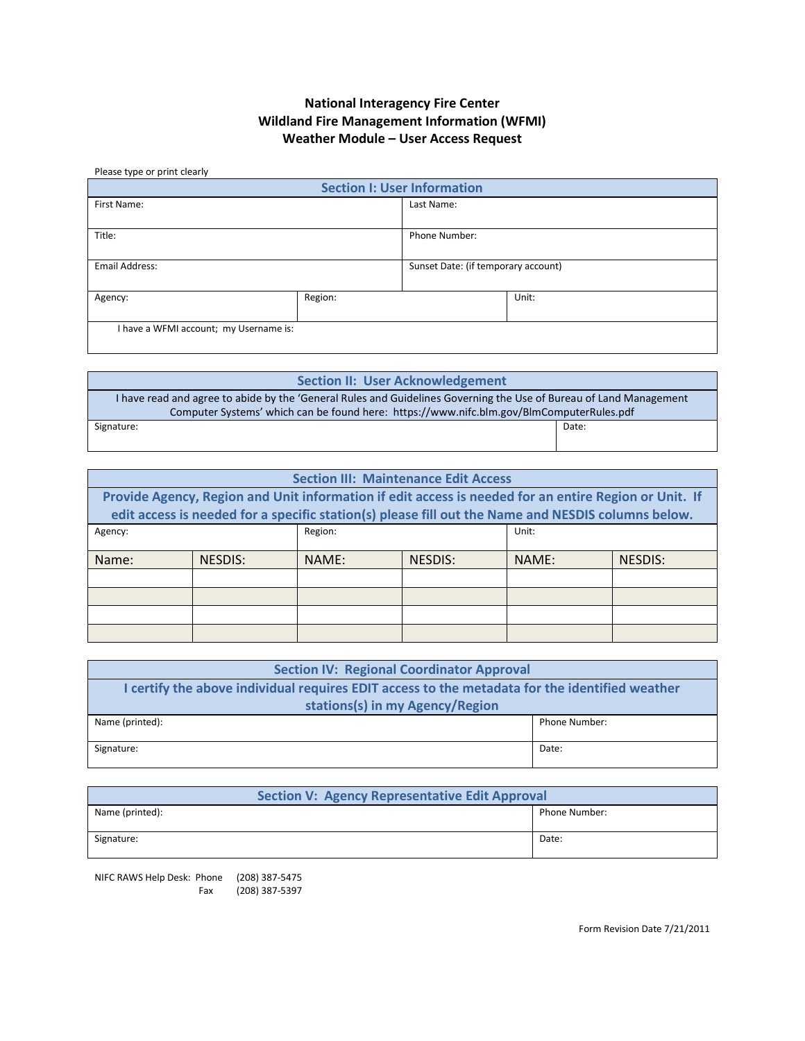# **National Interagency Fire Center Wildland Fire Management Information (WFMI) Weather Module – User Access Request**

#### Please type or print clearly

| <b>Section I: User Information</b>     |         |                                     |       |  |
|----------------------------------------|---------|-------------------------------------|-------|--|
| First Name:                            |         | Last Name:                          |       |  |
| Title:                                 |         | Phone Number:                       |       |  |
| Email Address:                         |         | Sunset Date: (if temporary account) |       |  |
| Agency:                                | Region: |                                     | Unit: |  |
| I have a WFMI account; my Username is: |         |                                     |       |  |

| <b>Section II: User Acknowledgement</b>                                                                            |       |  |
|--------------------------------------------------------------------------------------------------------------------|-------|--|
| I have read and agree to abide by the 'General Rules and Guidelines Governing the Use of Bureau of Land Management |       |  |
| Computer Systems' which can be found here: https://www.nifc.blm.gov/BlmComputerRules.pdf                           |       |  |
| Signature:                                                                                                         | Date: |  |
|                                                                                                                    |       |  |

| <b>Section III: Maintenance Edit Access</b>                                                                                                                                                                 |         |         |         |       |         |
|-------------------------------------------------------------------------------------------------------------------------------------------------------------------------------------------------------------|---------|---------|---------|-------|---------|
| Provide Agency, Region and Unit information if edit access is needed for an entire Region or Unit. If<br>edit access is needed for a specific station(s) please fill out the Name and NESDIS columns below. |         |         |         |       |         |
| Agency:                                                                                                                                                                                                     |         | Region: |         | Unit: |         |
| Name:                                                                                                                                                                                                       | NESDIS: | NAME:   | NESDIS: | NAME: | NESDIS: |
|                                                                                                                                                                                                             |         |         |         |       |         |
|                                                                                                                                                                                                             |         |         |         |       |         |
|                                                                                                                                                                                                             |         |         |         |       |         |
|                                                                                                                                                                                                             |         |         |         |       |         |

| <b>Section IV: Regional Coordinator Approval</b>                                               |               |  |
|------------------------------------------------------------------------------------------------|---------------|--|
| I certify the above individual requires EDIT access to the metadata for the identified weather |               |  |
| stations(s) in my Agency/Region                                                                |               |  |
| Name (printed):                                                                                | Phone Number: |  |
|                                                                                                |               |  |
| Signature:                                                                                     | Date:         |  |
|                                                                                                |               |  |

| <b>Section V: Agency Representative Edit Approval</b> |               |  |
|-------------------------------------------------------|---------------|--|
| Name (printed):                                       | Phone Number: |  |
| Signature:                                            | Date:         |  |

NIFC RAWS Help Desk: Phone (208) 387-5475 Fax (208) 387-5397